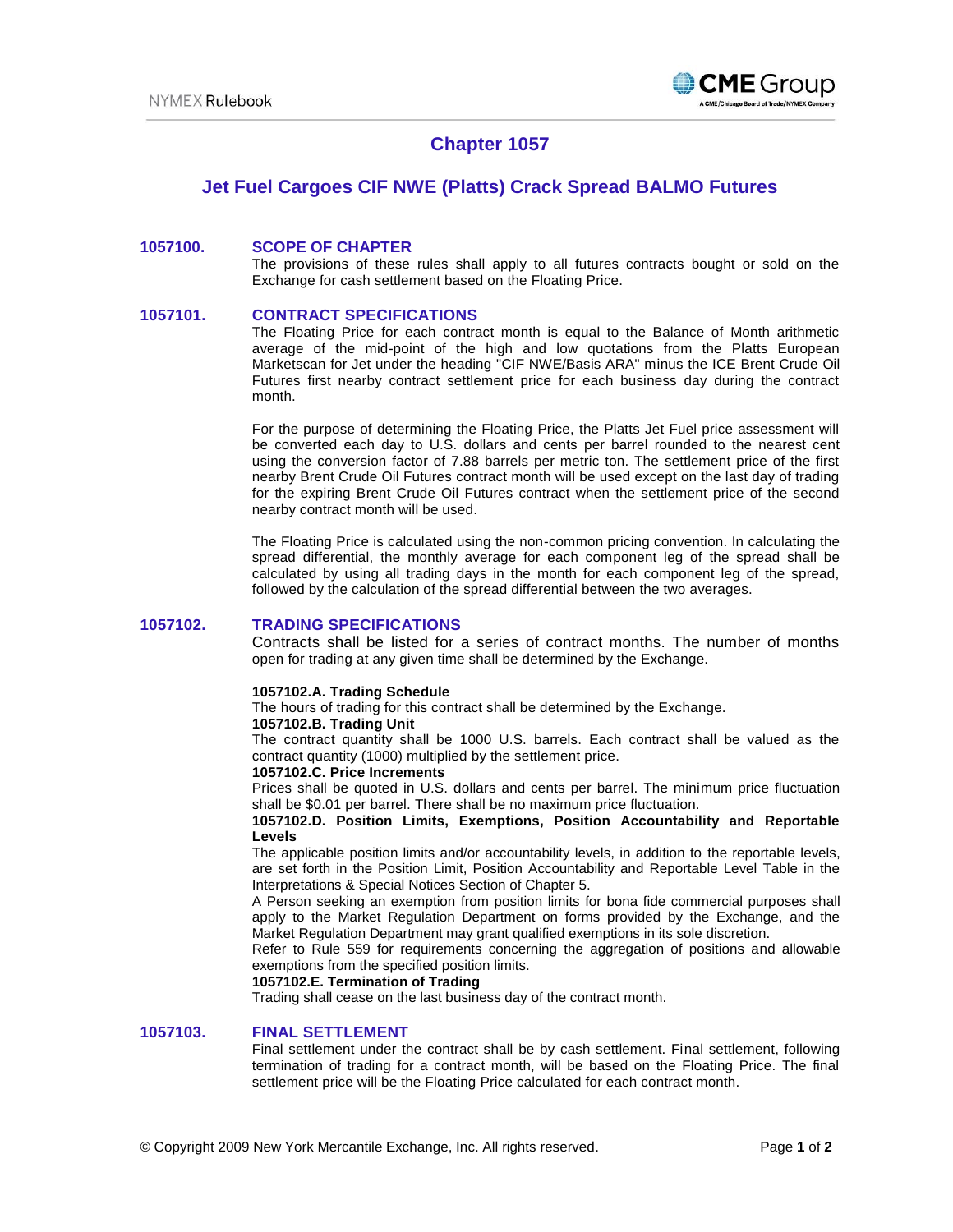

# **Chapter 1057**

# **Jet Fuel Cargoes CIF NWE (Platts) Crack Spread BALMO Futures**

# **1057100. SCOPE OF CHAPTER**

The provisions of these rules shall apply to all futures contracts bought or sold on the Exchange for cash settlement based on the Floating Price.

# **1057101. CONTRACT SPECIFICATIONS**

The Floating Price for each contract month is equal to the Balance of Month arithmetic average of the mid-point of the high and low quotations from the Platts European Marketscan for Jet under the heading "CIF NWE/Basis ARA" minus the ICE Brent Crude Oil Futures first nearby contract settlement price for each business day during the contract month.

For the purpose of determining the Floating Price, the Platts Jet Fuel price assessment will be converted each day to U.S. dollars and cents per barrel rounded to the nearest cent using the conversion factor of 7.88 barrels per metric ton. The settlement price of the first nearby Brent Crude Oil Futures contract month will be used except on the last day of trading for the expiring Brent Crude Oil Futures contract when the settlement price of the second nearby contract month will be used.

The Floating Price is calculated using the non-common pricing convention. In calculating the spread differential, the monthly average for each component leg of the spread shall be calculated by using all trading days in the month for each component leg of the spread, followed by the calculation of the spread differential between the two averages.

# **1057102. TRADING SPECIFICATIONS**

Contracts shall be listed for a series of contract months. The number of months open for trading at any given time shall be determined by the Exchange.

### **1057102.A. Trading Schedule**

The hours of trading for this contract shall be determined by the Exchange.

#### **1057102.B. Trading Unit**

The contract quantity shall be 1000 U.S. barrels. Each contract shall be valued as the contract quantity (1000) multiplied by the settlement price.

## **1057102.C. Price Increments**

Prices shall be quoted in U.S. dollars and cents per barrel. The minimum price fluctuation shall be \$0.01 per barrel. There shall be no maximum price fluctuation.

## **1057102.D. Position Limits, Exemptions, Position Accountability and Reportable Levels**

The applicable position limits and/or accountability levels, in addition to the reportable levels, are set forth in the Position Limit, Position Accountability and Reportable Level Table in the Interpretations & Special Notices Section of Chapter 5.

A Person seeking an exemption from position limits for bona fide commercial purposes shall apply to the Market Regulation Department on forms provided by the Exchange, and the Market Regulation Department may grant qualified exemptions in its sole discretion.

Refer to Rule 559 for requirements concerning the aggregation of positions and allowable exemptions from the specified position limits.

### **1057102.E. Termination of Trading**

Trading shall cease on the last business day of the contract month.

# **1057103. FINAL SETTLEMENT**

Final settlement under the contract shall be by cash settlement. Final settlement, following termination of trading for a contract month, will be based on the Floating Price. The final settlement price will be the Floating Price calculated for each contract month.